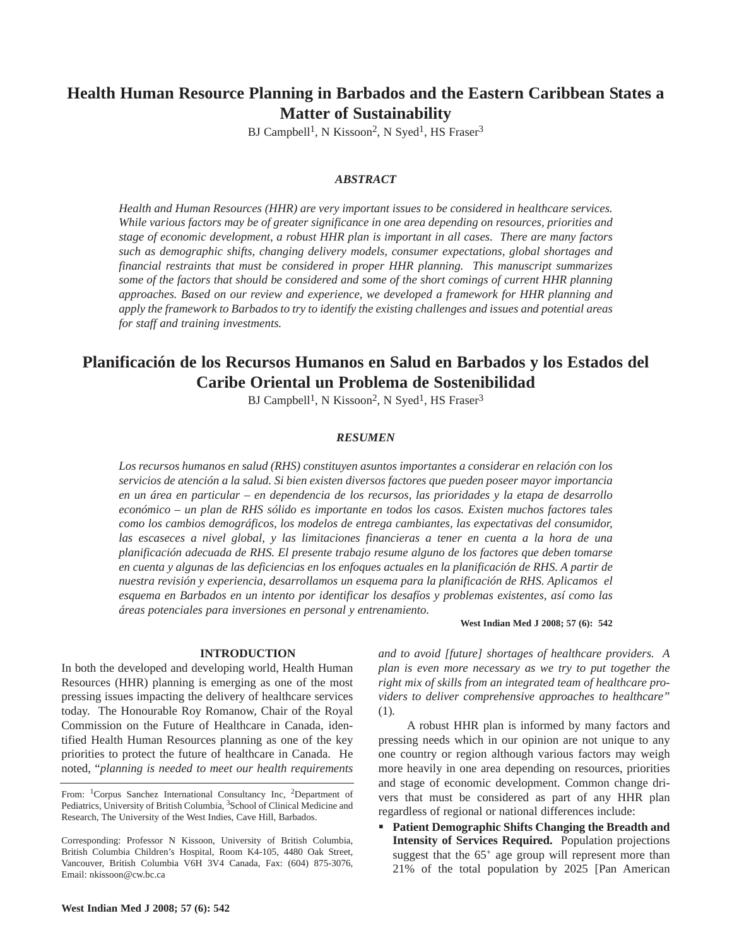# **Health Human Resource Planning in Barbados and the Eastern Caribbean States a Matter of Sustainability**

BJ Campbell<sup>1</sup>, N Kissoon<sup>2</sup>, N Syed<sup>1</sup>, HS Fraser<sup>3</sup>

### *ABSTRACT*

*Health and Human Resources (HHR) are very important issues to be considered in healthcare services. While various factors may be of greater significance in one area depending on resources, priorities and stage of economic development, a robust HHR plan is important in all cases. There are many factors such as demographic shifts, changing delivery models, consumer expectations, global shortages and financial restraints that must be considered in proper HHR planning. This manuscript summarizes some of the factors that should be considered and some of the short comings of current HHR planning approaches. Based on our review and experience, we developed a framework for HHR planning and apply the framework to Barbados to try to identify the existing challenges and issues and potential areas for staff and training investments.*

# **Planificación de los Recursos Humanos en Salud en Barbados y los Estados del Caribe Oriental un Problema de Sostenibilidad**

BJ Campbell<sup>1</sup>, N Kissoon<sup>2</sup>, N Syed<sup>1</sup>, HS Fraser<sup>3</sup>

#### *RESUMEN*

*Los recursos humanos en salud (RHS) constituyen asuntos importantes a considerar en relación con los servicios de atención a la salud. Si bien existen diversos factores que pueden poseer mayor importancia en un área en particular – en dependencia de los recursos, las prioridades y la etapa de desarrollo económico – un plan de RHS sólido es importante en todos los casos. Existen muchos factores tales como los cambios demográficos, los modelos de entrega cambiantes, las expectativas del consumidor, las escaseces a nivel global, y las limitaciones financieras a tener en cuenta a la hora de una planificación adecuada de RHS. El presente trabajo resume alguno de los factores que deben tomarse en cuenta y algunas de las deficiencias en los enfoques actuales en la planificación de RHS. A partir de nuestra revisión y experiencia, desarrollamos un esquema para la planificación de RHS. Aplicamos el esquema en Barbados en un intento por identificar los desafíos y problemas existentes, así como las áreas potenciales para inversiones en personal y entrenamiento.*

**West Indian Med J 2008; 57 (6): 542**

#### **INTRODUCTION**

In both the developed and developing world, Health Human Resources (HHR) planning is emerging as one of the most pressing issues impacting the delivery of healthcare services today. The Honourable Roy Romanow, Chair of the Royal Commission on the Future of Healthcare in Canada, identified Health Human Resources planning as one of the key priorities to protect the future of healthcare in Canada. He noted, "*planning is needed to meet our health requirements* *and to avoid [future] shortages of healthcare providers. A plan is even more necessary as we try to put together the right mix of skills from an integrated team of healthcare providers to deliver comprehensive approaches to healthcare"* (1)*.*

A robust HHR plan is informed by many factors and pressing needs which in our opinion are not unique to any one country or region although various factors may weigh more heavily in one area depending on resources, priorities and stage of economic development. Common change drivers that must be considered as part of any HHR plan regardless of regional or national differences include:

 **Patient Demographic Shifts Changing the Breadth and Intensity of Services Required.** Population projections suggest that the  $65<sup>+</sup>$  age group will represent more than 21% of the total population by 2025 [Pan American

From: <sup>1</sup>Corpus Sanchez International Consultancy Inc, <sup>2</sup>Department of Pediatrics, University of British Columbia, <sup>3</sup>School of Clinical Medicine and Research, The University of the West Indies, Cave Hill, Barbados.

Corresponding: Professor N Kissoon, University of British Columbia, British Columbia Children's Hospital, Room K4-105, 4480 Oak Street, Vancouver, British Columbia V6H 3V4 Canada, Fax: (604) 875-3076, Email: nkissoon@cw.bc.ca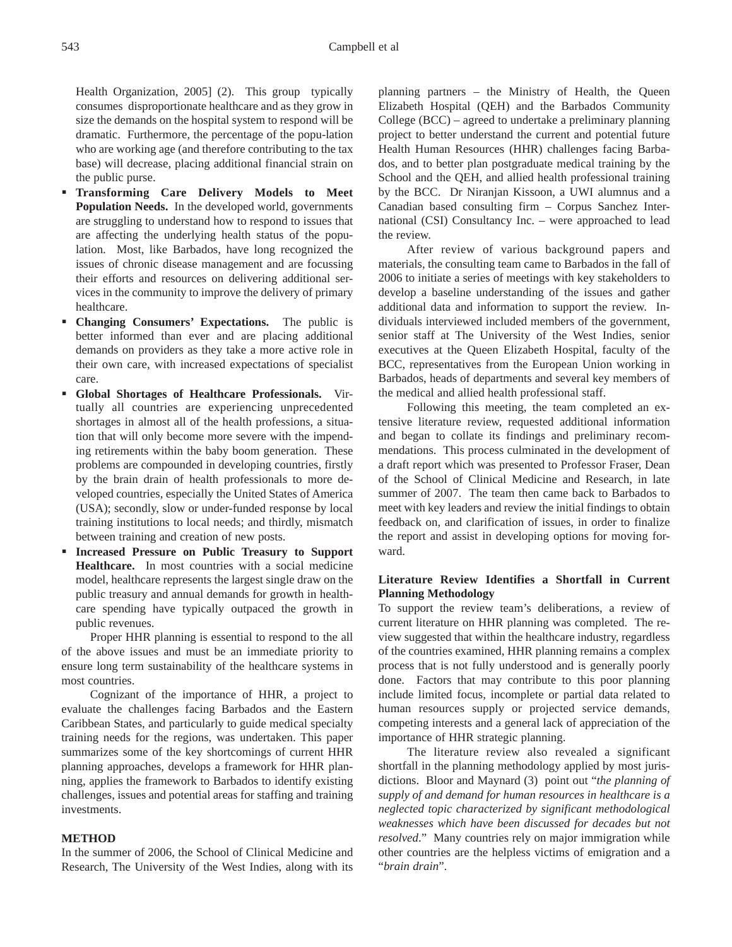Health Organization, 2005] (2). This group typically consumes disproportionate healthcare and as they grow in size the demands on the hospital system to respond will be dramatic. Furthermore, the percentage of the popu-lation who are working age (and therefore contributing to the tax base) will decrease, placing additional financial strain on the public purse.

- **Transforming Care Delivery Models to Meet Population Needs.** In the developed world, governments are struggling to understand how to respond to issues that are affecting the underlying health status of the population. Most, like Barbados, have long recognized the issues of chronic disease management and are focussing their efforts and resources on delivering additional services in the community to improve the delivery of primary healthcare.
- **Changing Consumers' Expectations.** The public is better informed than ever and are placing additional demands on providers as they take a more active role in their own care, with increased expectations of specialist care.
- **Global Shortages of Healthcare Professionals.** Virtually all countries are experiencing unprecedented shortages in almost all of the health professions, a situation that will only become more severe with the impending retirements within the baby boom generation. These problems are compounded in developing countries, firstly by the brain drain of health professionals to more developed countries, especially the United States of America (USA); secondly, slow or under-funded response by local training institutions to local needs; and thirdly, mismatch between training and creation of new posts.
- **Increased Pressure on Public Treasury to Support Healthcare.** In most countries with a social medicine model, healthcare represents the largest single draw on the public treasury and annual demands for growth in healthcare spending have typically outpaced the growth in public revenues.

Proper HHR planning is essential to respond to the all of the above issues and must be an immediate priority to ensure long term sustainability of the healthcare systems in most countries.

Cognizant of the importance of HHR, a project to evaluate the challenges facing Barbados and the Eastern Caribbean States, and particularly to guide medical specialty training needs for the regions, was undertaken. This paper summarizes some of the key shortcomings of current HHR planning approaches, develops a framework for HHR planning, applies the framework to Barbados to identify existing challenges, issues and potential areas for staffing and training investments.

## **METHOD**

In the summer of 2006, the School of Clinical Medicine and Research, The University of the West Indies, along with its planning partners – the Ministry of Health, the Queen Elizabeth Hospital (QEH) and the Barbados Community College (BCC) – agreed to undertake a preliminary planning project to better understand the current and potential future Health Human Resources (HHR) challenges facing Barbados, and to better plan postgraduate medical training by the School and the QEH, and allied health professional training by the BCC. Dr Niranjan Kissoon, a UWI alumnus and a Canadian based consulting firm – Corpus Sanchez International (CSI) Consultancy Inc. – were approached to lead the review.

After review of various background papers and materials, the consulting team came to Barbados in the fall of 2006 to initiate a series of meetings with key stakeholders to develop a baseline understanding of the issues and gather additional data and information to support the review. Individuals interviewed included members of the government, senior staff at The University of the West Indies, senior executives at the Queen Elizabeth Hospital, faculty of the BCC, representatives from the European Union working in Barbados, heads of departments and several key members of the medical and allied health professional staff.

Following this meeting, the team completed an extensive literature review, requested additional information and began to collate its findings and preliminary recommendations. This process culminated in the development of a draft report which was presented to Professor Fraser, Dean of the School of Clinical Medicine and Research, in late summer of 2007. The team then came back to Barbados to meet with key leaders and review the initial findings to obtain feedback on, and clarification of issues, in order to finalize the report and assist in developing options for moving forward.

## **Literature Review Identifies a Shortfall in Current Planning Methodology**

To support the review team's deliberations, a review of current literature on HHR planning was completed. The review suggested that within the healthcare industry, regardless of the countries examined, HHR planning remains a complex process that is not fully understood and is generally poorly done. Factors that may contribute to this poor planning include limited focus, incomplete or partial data related to human resources supply or projected service demands, competing interests and a general lack of appreciation of the importance of HHR strategic planning.

The literature review also revealed a significant shortfall in the planning methodology applied by most jurisdictions. Bloor and Maynard (3) point out "*the planning of supply of and demand for human resources in healthcare is a neglected topic characterized by significant methodological weaknesses which have been discussed for decades but not resolved*." Many countries rely on major immigration while other countries are the helpless victims of emigration and a "*brain drain*".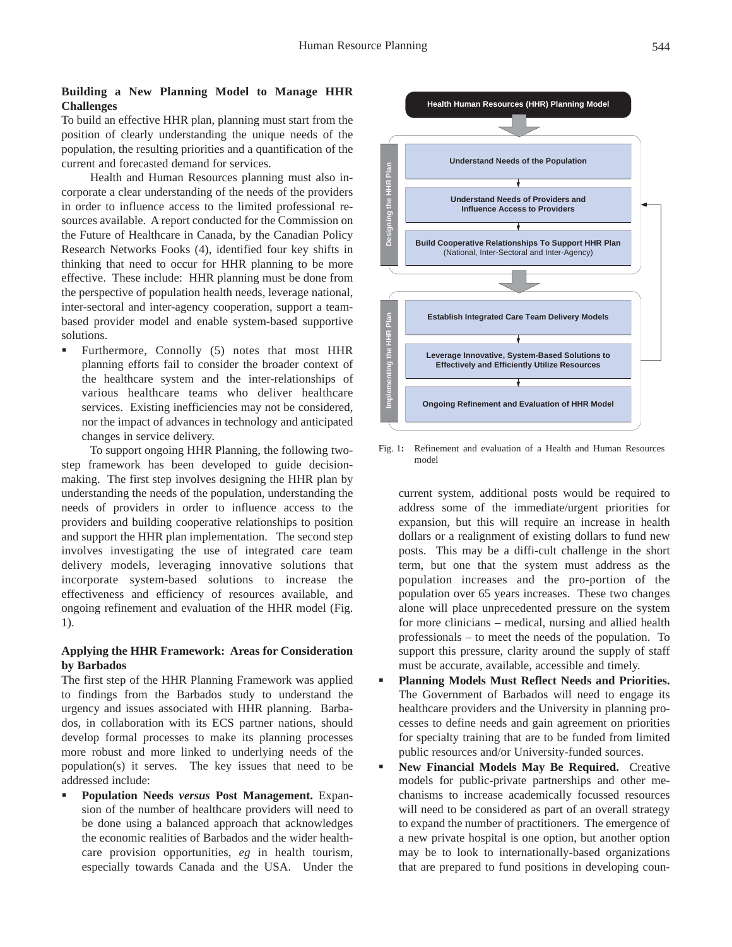## **Building a New Planning Model to Manage HHR Challenges**

To build an effective HHR plan, planning must start from the position of clearly understanding the unique needs of the population, the resulting priorities and a quantification of the current and forecasted demand for services.

Health and Human Resources planning must also incorporate a clear understanding of the needs of the providers in order to influence access to the limited professional resources available. A report conducted for the Commission on the Future of Healthcare in Canada, by the Canadian Policy Research Networks Fooks (4), identified four key shifts in thinking that need to occur for HHR planning to be more effective. These include: HHR planning must be done from the perspective of population health needs, leverage national, inter-sectoral and inter-agency cooperation, support a teambased provider model and enable system-based supportive solutions.

 Furthermore, Connolly (5) notes that most HHR planning efforts fail to consider the broader context of the healthcare system and the inter-relationships of various healthcare teams who deliver healthcare services. Existing inefficiencies may not be considered, nor the impact of advances in technology and anticipated changes in service delivery.

To support ongoing HHR Planning, the following twostep framework has been developed to guide decisionmaking. The first step involves designing the HHR plan by understanding the needs of the population, understanding the needs of providers in order to influence access to the providers and building cooperative relationships to position and support the HHR plan implementation. The second step involves investigating the use of integrated care team delivery models, leveraging innovative solutions that incorporate system-based solutions to increase the effectiveness and efficiency of resources available, and ongoing refinement and evaluation of the HHR model (Fig. 1).

## **Applying the HHR Framework: Areas for Consideration by Barbados**

The first step of the HHR Planning Framework was applied to findings from the Barbados study to understand the urgency and issues associated with HHR planning. Barbados, in collaboration with its ECS partner nations, should develop formal processes to make its planning processes more robust and more linked to underlying needs of the population(s) it serves. The key issues that need to be addressed include:

 **Population Needs** *versus* **Post Management.** Expansion of the number of healthcare providers will need to be done using a balanced approach that acknowledges the economic realities of Barbados and the wider healthcare provision opportunities, *eg* in health tourism, especially towards Canada and the USA. Under the



Fig. 1**:** Refinement and evaluation of a Health and Human Resources model

current system, additional posts would be required to address some of the immediate/urgent priorities for expansion, but this will require an increase in health dollars or a realignment of existing dollars to fund new posts. This may be a diffi-cult challenge in the short term, but one that the system must address as the population increases and the pro-portion of the population over 65 years increases. These two changes alone will place unprecedented pressure on the system for more clinicians – medical, nursing and allied health professionals – to meet the needs of the population. To support this pressure, clarity around the supply of staff must be accurate, available, accessible and timely.

- **Planning Models Must Reflect Needs and Priorities.** The Government of Barbados will need to engage its healthcare providers and the University in planning processes to define needs and gain agreement on priorities for specialty training that are to be funded from limited public resources and/or University-funded sources.
- **New Financial Models May Be Required.** Creative models for public-private partnerships and other mechanisms to increase academically focussed resources will need to be considered as part of an overall strategy to expand the number of practitioners. The emergence of a new private hospital is one option, but another option may be to look to internationally-based organizations that are prepared to fund positions in developing coun-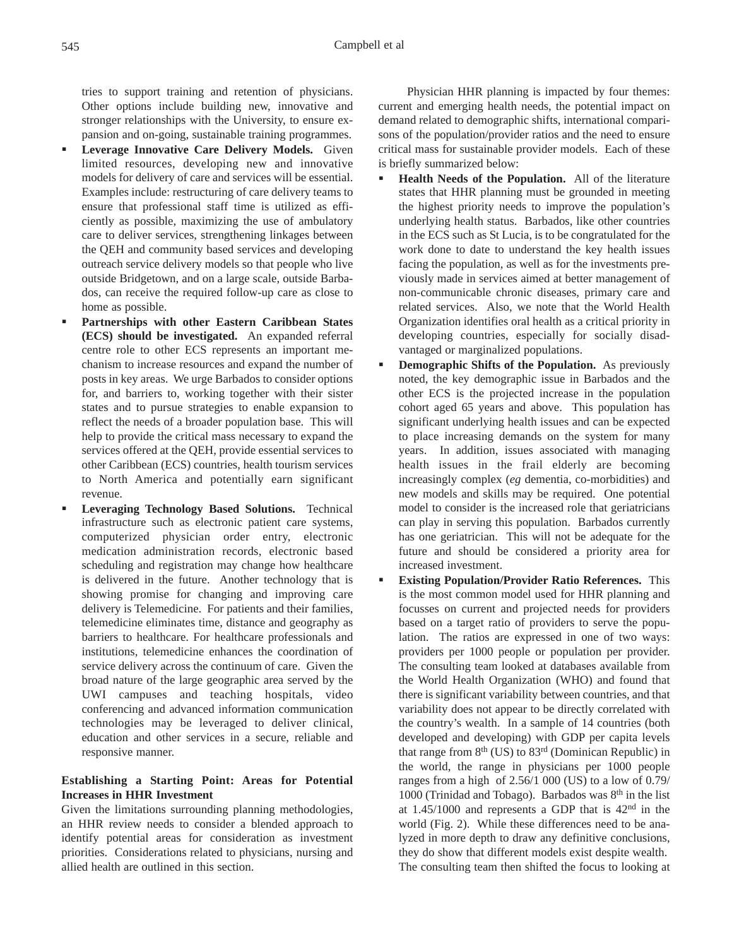tries to support training and retention of physicians. Other options include building new, innovative and stronger relationships with the University, to ensure expansion and on-going, sustainable training programmes.

- **Leverage Innovative Care Delivery Models.** Given limited resources, developing new and innovative models for delivery of care and services will be essential. Examples include: restructuring of care delivery teams to ensure that professional staff time is utilized as efficiently as possible, maximizing the use of ambulatory care to deliver services, strengthening linkages between the QEH and community based services and developing outreach service delivery models so that people who live outside Bridgetown, and on a large scale, outside Barbados, can receive the required follow-up care as close to home as possible.
- **Partnerships with other Eastern Caribbean States (ECS) should be investigated.** An expanded referral centre role to other ECS represents an important mechanism to increase resources and expand the number of posts in key areas. We urge Barbados to consider options for, and barriers to, working together with their sister states and to pursue strategies to enable expansion to reflect the needs of a broader population base. This will help to provide the critical mass necessary to expand the services offered at the QEH, provide essential services to other Caribbean (ECS) countries, health tourism services to North America and potentially earn significant revenue.
- **Leveraging Technology Based Solutions.** Technical infrastructure such as electronic patient care systems, computerized physician order entry, electronic medication administration records, electronic based scheduling and registration may change how healthcare is delivered in the future. Another technology that is showing promise for changing and improving care delivery is Telemedicine. For patients and their families, telemedicine eliminates time, distance and geography as barriers to healthcare. For healthcare professionals and institutions, telemedicine enhances the coordination of service delivery across the continuum of care. Given the broad nature of the large geographic area served by the UWI campuses and teaching hospitals, video conferencing and advanced information communication technologies may be leveraged to deliver clinical, education and other services in a secure, reliable and responsive manner.

## **Establishing a Starting Point: Areas for Potential Increases in HHR Investment**

Given the limitations surrounding planning methodologies, an HHR review needs to consider a blended approach to identify potential areas for consideration as investment priorities. Considerations related to physicians, nursing and allied health are outlined in this section.

Physician HHR planning is impacted by four themes: current and emerging health needs, the potential impact on demand related to demographic shifts, international comparisons of the population/provider ratios and the need to ensure critical mass for sustainable provider models. Each of these is briefly summarized below:

- **Health Needs of the Population.** All of the literature states that HHR planning must be grounded in meeting the highest priority needs to improve the population's underlying health status. Barbados, like other countries in the ECS such as St Lucia, is to be congratulated for the work done to date to understand the key health issues facing the population, as well as for the investments previously made in services aimed at better management of non-communicable chronic diseases, primary care and related services. Also, we note that the World Health Organization identifies oral health as a critical priority in developing countries, especially for socially disadvantaged or marginalized populations.
- **Demographic Shifts of the Population.** As previously noted, the key demographic issue in Barbados and the other ECS is the projected increase in the population cohort aged 65 years and above. This population has significant underlying health issues and can be expected to place increasing demands on the system for many years. In addition, issues associated with managing health issues in the frail elderly are becoming increasingly complex (*eg* dementia, co-morbidities) and new models and skills may be required. One potential model to consider is the increased role that geriatricians can play in serving this population. Barbados currently has one geriatrician. This will not be adequate for the future and should be considered a priority area for increased investment.
	- **Existing Population/Provider Ratio References.** This is the most common model used for HHR planning and focusses on current and projected needs for providers based on a target ratio of providers to serve the population. The ratios are expressed in one of two ways: providers per 1000 people or population per provider. The consulting team looked at databases available from the World Health Organization (WHO) and found that there is significant variability between countries, and that variability does not appear to be directly correlated with the country's wealth. In a sample of 14 countries (both developed and developing) with GDP per capita levels that range from  $8<sup>th</sup>$  (US) to  $83<sup>rd</sup>$  (Dominican Republic) in the world, the range in physicians per 1000 people ranges from a high of 2.56/1 000 (US) to a low of 0.79/ 1000 (Trinidad and Tobago). Barbados was 8th in the list at 1.45/1000 and represents a GDP that is 42nd in the world (Fig. 2). While these differences need to be analyzed in more depth to draw any definitive conclusions, they do show that different models exist despite wealth. The consulting team then shifted the focus to looking at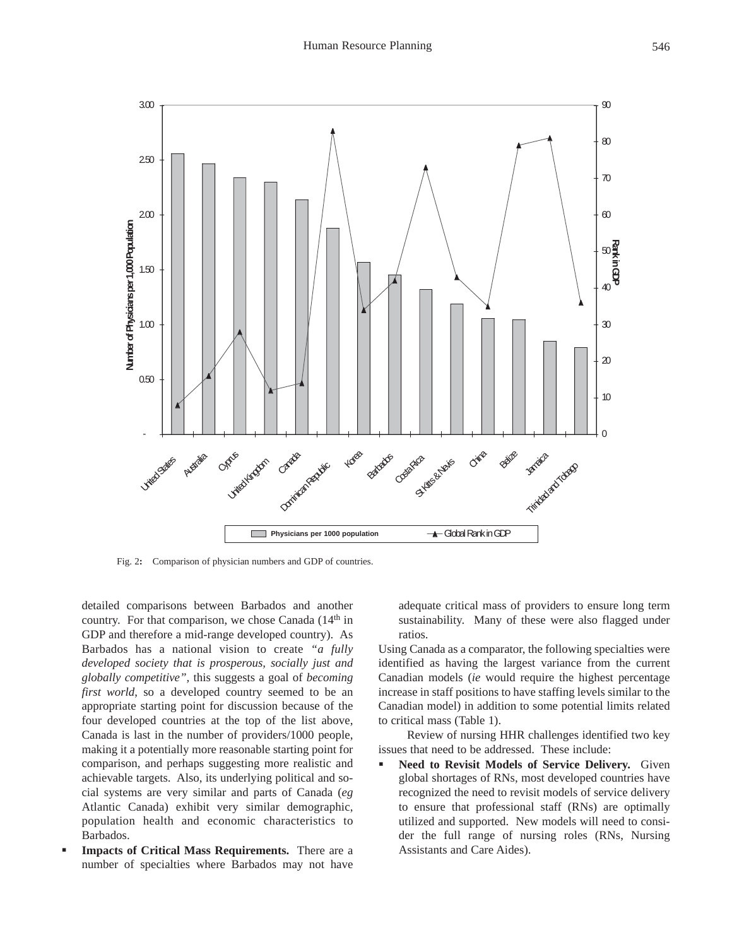

Fig. 2**:** Comparison of physician numbers and GDP of countries.

detailed comparisons between Barbados and another country. For that comparison, we chose Canada  $(14<sup>th</sup>$  in GDP and therefore a mid-range developed country). As Barbados has a national vision to create *"a fully developed society that is prosperous, socially just and globally competitive",* this suggests a goal of *becoming first world*, so a developed country seemed to be an appropriate starting point for discussion because of the four developed countries at the top of the list above, Canada is last in the number of providers/1000 people, making it a potentially more reasonable starting point for comparison, and perhaps suggesting more realistic and achievable targets. Also, its underlying political and social systems are very similar and parts of Canada (*eg* Atlantic Canada) exhibit very similar demographic, population health and economic characteristics to Barbados.

 **Impacts of Critical Mass Requirements.** There are a number of specialties where Barbados may not have

adequate critical mass of providers to ensure long term sustainability. Many of these were also flagged under ratios.

Using Canada as a comparator, the following specialties were identified as having the largest variance from the current Canadian models (*ie* would require the highest percentage increase in staff positions to have staffing levels similar to the Canadian model) in addition to some potential limits related to critical mass (Table 1).

Review of nursing HHR challenges identified two key issues that need to be addressed. These include:

 **Need to Revisit Models of Service Delivery.** Given global shortages of RNs, most developed countries have recognized the need to revisit models of service delivery to ensure that professional staff (RNs) are optimally utilized and supported. New models will need to consider the full range of nursing roles (RNs, Nursing Assistants and Care Aides).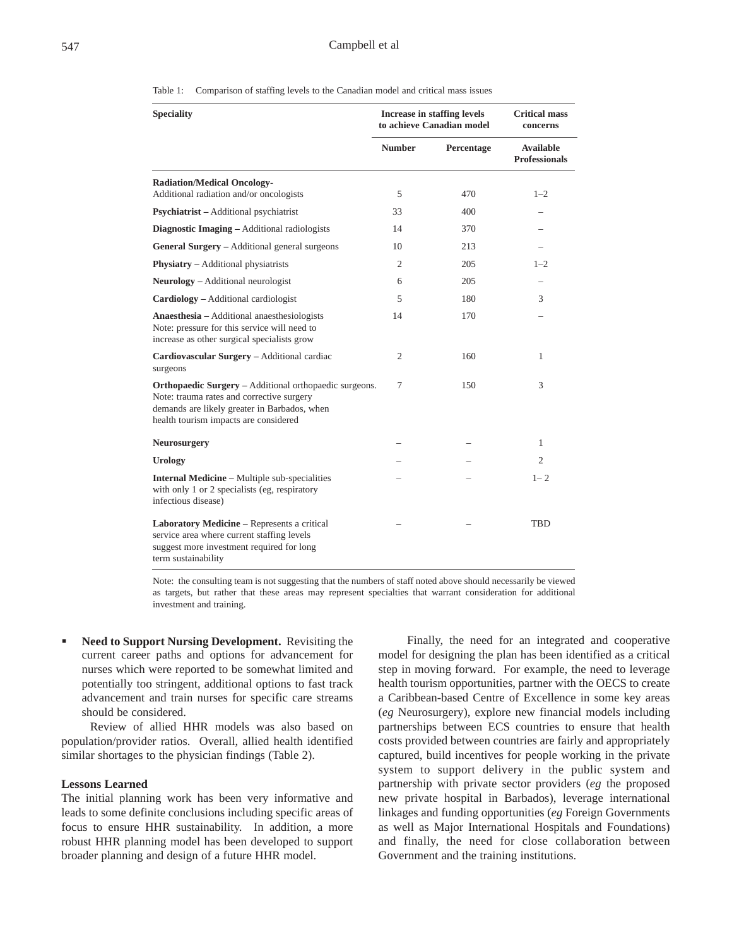|                   | Table 1: Comparison of staffing levels to the Canadian model and critical mass issues |                      |
|-------------------|---------------------------------------------------------------------------------------|----------------------|
| <b>Speciality</b> | Increase in staffing levels                                                           | <b>Critical mass</b> |
|                   | to achieve Canadian model                                                             | concerns             |

|                                                                                                                                                                                                     | to achieve Canadian model |            | concerns                                 |
|-----------------------------------------------------------------------------------------------------------------------------------------------------------------------------------------------------|---------------------------|------------|------------------------------------------|
|                                                                                                                                                                                                     | <b>Number</b>             | Percentage | <b>Available</b><br><b>Professionals</b> |
| <b>Radiation/Medical Oncology-</b>                                                                                                                                                                  |                           |            |                                          |
| Additional radiation and/or oncologists                                                                                                                                                             | 5                         | 470        | $1 - 2$                                  |
| <b>Psychiatrist</b> – Additional psychiatrist                                                                                                                                                       | 33                        | 400        |                                          |
| Diagnostic Imaging – Additional radiologists                                                                                                                                                        | 14                        | 370        |                                          |
| <b>General Surgery</b> – Additional general surgeons                                                                                                                                                | 10                        | 213        |                                          |
| Physiatry - Additional physiatrists                                                                                                                                                                 | $\overline{2}$            | 205        | $1 - 2$                                  |
| <b>Neurology</b> – Additional neurologist                                                                                                                                                           | 6                         | 205        |                                          |
| Cardiology - Additional cardiologist                                                                                                                                                                | 5                         | 180        | 3                                        |
| Anaesthesia - Additional anaesthesiologists<br>Note: pressure for this service will need to<br>increase as other surgical specialists grow                                                          | 14                        | 170        |                                          |
| Cardiovascular Surgery - Additional cardiac<br>surgeons                                                                                                                                             | $\overline{2}$            | 160        | 1                                        |
| <b>Orthopaedic Surgery</b> – Additional orthopaedic surgeons.<br>Note: trauma rates and corrective surgery<br>demands are likely greater in Barbados, when<br>health tourism impacts are considered | 7                         | 150        | 3                                        |
| <b>Neurosurgery</b>                                                                                                                                                                                 |                           |            | 1                                        |
| <b>Urology</b>                                                                                                                                                                                      |                           |            | $\overline{c}$                           |
| <b>Internal Medicine - Multiple sub-specialities</b><br>with only 1 or 2 specialists (eg, respiratory<br>infectious disease)                                                                        |                           |            | $1 - 2$                                  |
| Laboratory Medicine - Represents a critical<br>service area where current staffing levels<br>suggest more investment required for long<br>term sustainability                                       |                           |            | TBD                                      |

Note: the consulting team is not suggesting that the numbers of staff noted above should necessarily be viewed as targets, but rather that these areas may represent specialties that warrant consideration for additional investment and training.

 **Need to Support Nursing Development.** Revisiting the current career paths and options for advancement for nurses which were reported to be somewhat limited and potentially too stringent, additional options to fast track advancement and train nurses for specific care streams should be considered.

Review of allied HHR models was also based on population/provider ratios. Overall, allied health identified similar shortages to the physician findings (Table 2).

#### **Lessons Learned**

The initial planning work has been very informative and leads to some definite conclusions including specific areas of focus to ensure HHR sustainability. In addition, a more robust HHR planning model has been developed to support broader planning and design of a future HHR model.

Finally, the need for an integrated and cooperative model for designing the plan has been identified as a critical step in moving forward. For example, the need to leverage health tourism opportunities, partner with the OECS to create a Caribbean-based Centre of Excellence in some key areas (*eg* Neurosurgery), explore new financial models including partnerships between ECS countries to ensure that health costs provided between countries are fairly and appropriately captured, build incentives for people working in the private system to support delivery in the public system and partnership with private sector providers (*eg* the proposed new private hospital in Barbados), leverage international linkages and funding opportunities (*eg* Foreign Governments as well as Major International Hospitals and Foundations) and finally, the need for close collaboration between Government and the training institutions.